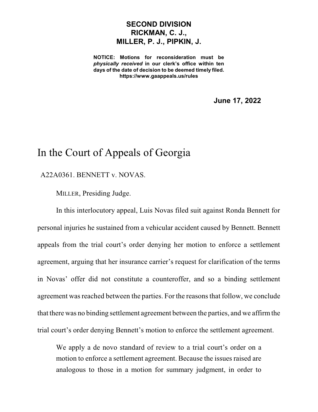## **SECOND DIVISION RICKMAN, C. J., MILLER, P. J., PIPKIN, J.**

**NOTICE: Motions for reconsideration must be** *physically received* **in our clerk's office within ten days of the date of decision to be deemed timely filed. https://www.gaappeals.us/rules**

**June 17, 2022**

## In the Court of Appeals of Georgia

## A22A0361. BENNETT v. NOVAS.

MILLER, Presiding Judge.

In this interlocutory appeal, Luis Novas filed suit against Ronda Bennett for personal injuries he sustained from a vehicular accident caused by Bennett. Bennett appeals from the trial court's order denying her motion to enforce a settlement agreement, arguing that her insurance carrier's request for clarification of the terms in Novas' offer did not constitute a counteroffer, and so a binding settlement agreement was reached between the parties. For the reasons that follow, we conclude that there was no binding settlement agreement between the parties, and we affirmthe trial court's order denying Bennett's motion to enforce the settlement agreement.

We apply a de novo standard of review to a trial court's order on a motion to enforce a settlement agreement. Because the issues raised are analogous to those in a motion for summary judgment, in order to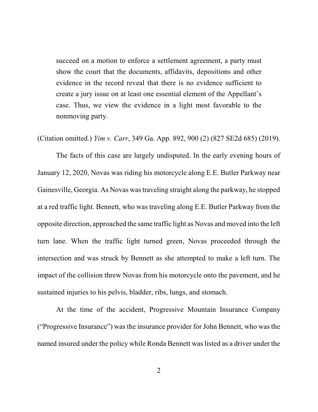succeed on a motion to enforce a settlement agreement, a party must show the court that the documents, affidavits, depositions and other evidence in the record reveal that there is no evidence sufficient to create a jury issue on at least one essential element of the Appellant's case. Thus, we view the evidence in a light most favorable to the nonmoving party.

(Citation omitted.) *Yim v. Carr*, 349 Ga. App. 892, 900 (2) (827 SE2d 685) (2019).

The facts of this case are largely undisputed. In the early evening hours of January 12, 2020, Novas was riding his motorcycle along E.E. Butler Parkway near Gainesville, Georgia. As Novas wastraveling straight along the parkway, he stopped at a red traffic light. Bennett, who was traveling along E.E. Butler Parkway from the opposite direction, approached the same traffic light as Novas and moved into the left turn lane. When the traffic light turned green, Novas proceeded through the intersection and was struck by Bennett as she attempted to make a left turn. The impact of the collision threw Novas from his motorcycle onto the pavement, and he sustained injuries to his pelvis, bladder, ribs, lungs, and stomach.

At the time of the accident, Progressive Mountain Insurance Company ("Progressive Insurance") was the insurance provider for John Bennett, who was the named insured under the policy while Ronda Bennett was listed as a driver under the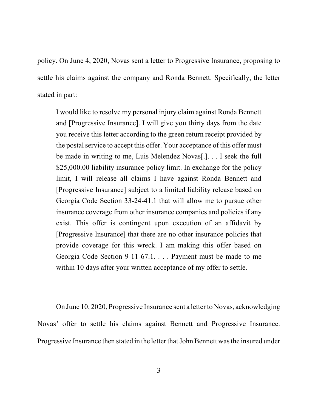policy. On June 4, 2020, Novas sent a letter to Progressive Insurance, proposing to settle his claims against the company and Ronda Bennett. Specifically, the letter stated in part:

I would like to resolve my personal injury claim against Ronda Bennett and [Progressive Insurance]. I will give you thirty days from the date you receive this letter according to the green return receipt provided by the postal service to accept this offer. Your acceptance of this offer must be made in writing to me, Luis Melendez Novas[.]. . . I seek the full \$25,000.00 liability insurance policy limit. In exchange for the policy limit, I will release all claims I have against Ronda Bennett and [Progressive Insurance] subject to a limited liability release based on Georgia Code Section 33-24-41.1 that will allow me to pursue other insurance coverage from other insurance companies and policies if any exist. This offer is contingent upon execution of an affidavit by [Progressive Insurance] that there are no other insurance policies that provide coverage for this wreck. I am making this offer based on Georgia Code Section 9-11-67.1. . . . Payment must be made to me within 10 days after your written acceptance of my offer to settle.

On June 10, 2020, Progressive Insurance sent a letter to Novas, acknowledging Novas' offer to settle his claims against Bennett and Progressive Insurance. Progressive Insurance then stated in the letter that John Bennett was the insured under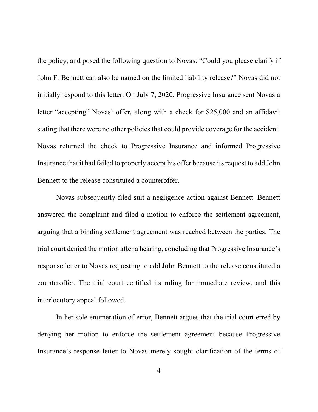the policy, and posed the following question to Novas: "Could you please clarify if John F. Bennett can also be named on the limited liability release?" Novas did not initially respond to this letter. On July 7, 2020, Progressive Insurance sent Novas a letter "accepting" Novas' offer, along with a check for \$25,000 and an affidavit stating that there were no other policies that could provide coverage for the accident. Novas returned the check to Progressive Insurance and informed Progressive Insurance that it had failed to properly accept his offer because itsrequest to add John Bennett to the release constituted a counteroffer.

Novas subsequently filed suit a negligence action against Bennett. Bennett answered the complaint and filed a motion to enforce the settlement agreement, arguing that a binding settlement agreement was reached between the parties. The trial court denied the motion after a hearing, concluding that Progressive Insurance's response letter to Novas requesting to add John Bennett to the release constituted a counteroffer. The trial court certified its ruling for immediate review, and this interlocutory appeal followed.

In her sole enumeration of error, Bennett argues that the trial court erred by denying her motion to enforce the settlement agreement because Progressive Insurance's response letter to Novas merely sought clarification of the terms of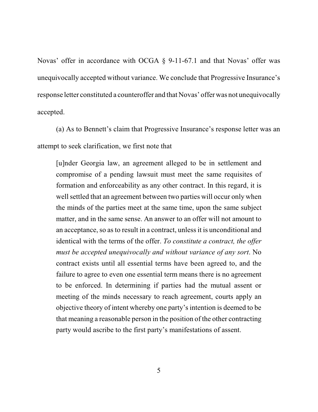Novas' offer in accordance with OCGA § 9-11-67.1 and that Novas' offer was unequivocally accepted without variance. We conclude that Progressive Insurance's response letter constituted a counteroffer and that Novas' offer was not unequivocally accepted.

(a) As to Bennett's claim that Progressive Insurance's response letter was an attempt to seek clarification, we first note that

[u]nder Georgia law, an agreement alleged to be in settlement and compromise of a pending lawsuit must meet the same requisites of formation and enforceability as any other contract. In this regard, it is well settled that an agreement between two parties will occur only when the minds of the parties meet at the same time, upon the same subject matter, and in the same sense. An answer to an offer will not amount to an acceptance, so as to result in a contract, unlessit is unconditional and identical with the terms of the offer. *To constitute a contract, the offer must be accepted unequivocally and without variance of any sort*. No contract exists until all essential terms have been agreed to, and the failure to agree to even one essential term means there is no agreement to be enforced. In determining if parties had the mutual assent or meeting of the minds necessary to reach agreement, courts apply an objective theory of intent whereby one party's intention is deemed to be that meaning a reasonable person in the position of the other contracting party would ascribe to the first party's manifestations of assent.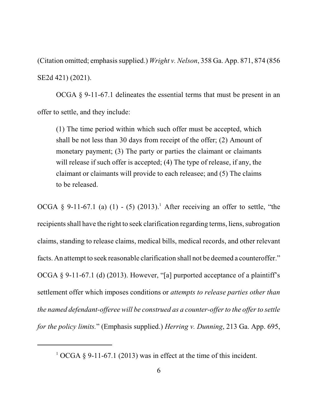(Citation omitted; emphasissupplied.) *Wright v. Nelson*, 358 Ga. App. 871, 874 (856 SE2d 421) (2021).

OCGA § 9-11-67.1 delineates the essential terms that must be present in an offer to settle, and they include:

(1) The time period within which such offer must be accepted, which shall be not less than 30 days from receipt of the offer; (2) Amount of monetary payment; (3) The party or parties the claimant or claimants will release if such offer is accepted; (4) The type of release, if any, the claimant or claimants will provide to each releasee; and (5) The claims to be released.

OCGA  $\S$  9-11-67.1 (a) (1) - (5) (2013).<sup>1</sup> After receiving an offer to settle, "the recipients shall have the right to seek clarification regarding terms, liens, subrogation claims, standing to release claims, medical bills, medical records, and other relevant facts. An attempt to seek reasonable clarification shall not be deemed a counteroffer." OCGA § 9-11-67.1 (d) (2013). However, "[a] purported acceptance of a plaintiff's settlement offer which imposes conditions or *attempts to release parties other than the named defendant-offeree will be construed as a counter-offerto the offerto settle for the policy limits.*" (Emphasis supplied.) *Herring v. Dunning*, 213 Ga. App. 695,

 $1$  OCGA § 9-11-67.1 (2013) was in effect at the time of this incident.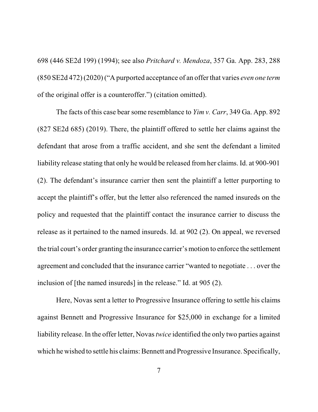698 (446 SE2d 199) (1994); see also *Pritchard v. Mendoza*, 357 Ga. App. 283, 288 (850 SE2d 472) (2020) ("A purported acceptance of an offer that varies *even one term* of the original offer is a counteroffer.") (citation omitted).

The facts of this case bear some resemblance to *Yim v. Carr*, 349 Ga. App. 892 (827 SE2d 685) (2019). There, the plaintiff offered to settle her claims against the defendant that arose from a traffic accident, and she sent the defendant a limited liability release stating that only he would be released from her claims. Id. at 900-901 (2). The defendant's insurance carrier then sent the plaintiff a letter purporting to accept the plaintiff's offer, but the letter also referenced the named insureds on the policy and requested that the plaintiff contact the insurance carrier to discuss the release as it pertained to the named insureds. Id. at 902 (2). On appeal, we reversed the trial court's order granting the insurance carrier's motion to enforce the settlement agreement and concluded that the insurance carrier "wanted to negotiate . . . over the inclusion of [the named insureds] in the release." Id. at 905 (2).

Here, Novas sent a letter to Progressive Insurance offering to settle his claims against Bennett and Progressive Insurance for \$25,000 in exchange for a limited liability release. In the offer letter, Novas*twice* identified the only two parties against which he wished to settle his claims: Bennett and Progressive Insurance. Specifically,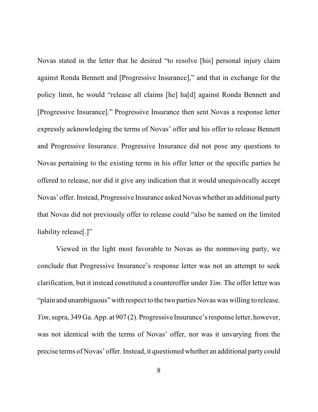Novas stated in the letter that he desired "to resolve [his] personal injury claim against Ronda Bennett and [Progressive Insurance]," and that in exchange for the policy limit, he would "release all claims [he] ha[d] against Ronda Bennett and [Progressive Insurance]." Progressive Insurance then sent Novas a response letter expressly acknowledging the terms of Novas' offer and his offer to release Bennett and Progressive Insurance. Progressive Insurance did not pose any questions to Novas pertaining to the existing terms in his offer letter or the specific parties he offered to release, nor did it give any indication that it would unequivocally accept Novas' offer. Instead,Progressive Insurance asked Novas whether an additional party that Novas did not previously offer to release could "also be named on the limited liability release[.]"

Viewed in the light most favorable to Novas as the nonmoving party, we conclude that Progressive Insurance's response letter was not an attempt to seek clarification, but it instead constituted a counteroffer under *Yim*. The offer letter was "plain and unambiguous" with respect to the two parties Novas was willing to release. *Yim*, supra, 349 Ga. App. at 907 (2). Progressive Insurance's response letter, however, was not identical with the terms of Novas' offer, nor was it unvarying from the precise terms of Novas' offer. Instead, it questioned whether an additional party could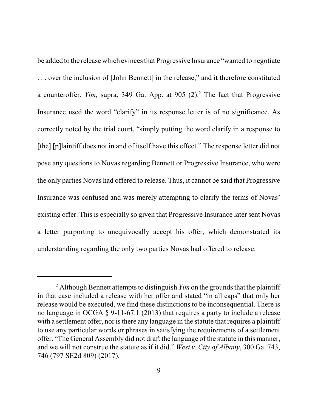be added to the release which evincesthat Progressive Insurance "wanted to negotiate . . . over the inclusion of [John Bennett] in the release," and it therefore constituted a counteroffer. *Yim,* supra, 349 Ga. App. at 905 (2).<sup>2</sup> The fact that Progressive Insurance used the word "clarify" in its response letter is of no significance. As correctly noted by the trial court, "simply putting the word clarify in a response to [the] [p]laintiff does not in and of itself have this effect." The response letter did not pose any questions to Novas regarding Bennett or Progressive Insurance, who were the only parties Novas had offered to release. Thus, it cannot be said that Progressive Insurance was confused and was merely attempting to clarify the terms of Novas' existing offer. Thisis especially so given that Progressive Insurance later sent Novas a letter purporting to unequivocally accept his offer, which demonstrated its understanding regarding the only two parties Novas had offered to release.

<sup>&</sup>lt;sup>2</sup> Although Bennett attempts to distinguish  $Yim$  on the grounds that the plaintiff in that case included a release with her offer and stated "in all caps" that only her release would be executed, we find these distinctions to be inconsequential. There is no language in OCGA § 9-11-67.1 (2013) that requires a party to include a release with a settlement offer, nor is there any language in the statute that requires a plaintiff to use any particular words or phrases in satisfying the requirements of a settlement offer. "The General Assembly did not draft the language of the statute in this manner, and we will not construe the statute as if it did." *West v. City of Albany*, 300 Ga. 743, 746 (797 SE2d 809) (2017).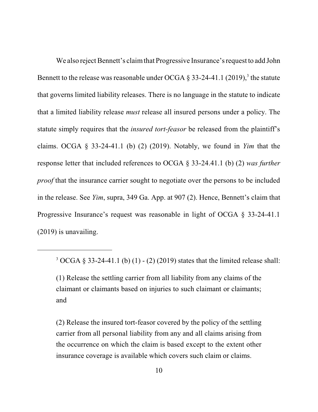We also reject Bennett's claim that Progressive Insurance's request to add John Bennett to the release was reasonable under OCGA  $\S 33-24-41.1$  (2019),<sup>3</sup> the statute that governs limited liability releases. There is no language in the statute to indicate that a limited liability release *must* release all insured persons under a policy. The statute simply requires that the *insured tort-feasor* be released from the plaintiff's claims. OCGA § 33-24-41.1 (b) (2) (2019). Notably, we found in *Yim* that the response letter that included references to OCGA § 33-24.41.1 (b) (2) *was further proof* that the insurance carrier sought to negotiate over the persons to be included in the release. See *Yim*, supra, 349 Ga. App. at 907 (2). Hence, Bennett's claim that Progressive Insurance's request was reasonable in light of OCGA § 33-24-41.1 (2019) is unavailing.

 $3 OCGA \t3 33-24-41.1 \t(b) (1) - (2) (2019)$  states that the limited release shall:

<sup>(1)</sup> Release the settling carrier from all liability from any claims of the claimant or claimants based on injuries to such claimant or claimants; and

<sup>(2)</sup> Release the insured tort-feasor covered by the policy of the settling carrier from all personal liability from any and all claims arising from the occurrence on which the claim is based except to the extent other insurance coverage is available which covers such claim or claims.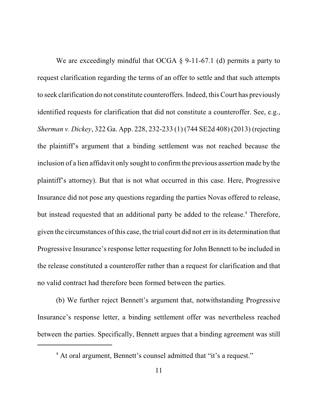We are exceedingly mindful that OCGA  $\S$  9-11-67.1 (d) permits a party to request clarification regarding the terms of an offer to settle and that such attempts to seek clarification do not constitute counteroffers. Indeed, this Court has previously identified requests for clarification that did not constitute a counteroffer. See, e.g., *Sherman v. Dickey*, 322 Ga. App. 228, 232-233 (1) (744 SE2d 408) (2013) (rejecting the plaintiff's argument that a binding settlement was not reached because the inclusion of a lien affidavit only sought to confirm the previous assertion made by the plaintiff's attorney). But that is not what occurred in this case. Here, Progressive Insurance did not pose any questions regarding the parties Novas offered to release, but instead requested that an additional party be added to the release.<sup>4</sup> Therefore, given the circumstances of this case, the trial court did not err in its determination that Progressive Insurance's response letter requesting for John Bennett to be included in the release constituted a counteroffer rather than a request for clarification and that no valid contract had therefore been formed between the parties.

(b) We further reject Bennett's argument that, notwithstanding Progressive Insurance's response letter, a binding settlement offer was nevertheless reached between the parties. Specifically, Bennett argues that a binding agreement was still

<sup>&</sup>lt;sup>4</sup> At oral argument, Bennett's counsel admitted that "it's a request."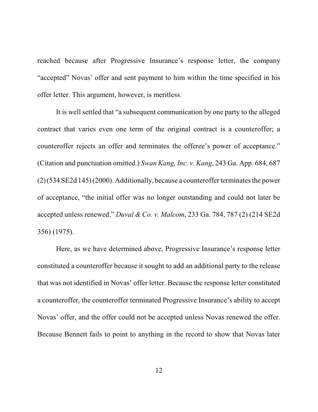reached because after Progressive Insurance's response letter, the company "accepted" Novas' offer and sent payment to him within the time specified in his offer letter. This argument, however, is meritless.

It is well settled that "a subsequent communication by one party to the alleged contract that varies even one term of the original contract is a counteroffer; a counteroffer rejects an offer and terminates the offeree's power of acceptance." (Citation and punctuation omitted.) *Swan Kang, Inc. v. Kang*, 243 Ga. App. 684, 687  $(2)(534 SE2d 145)$  (2000). Additionally, because a counteroffer terminates the power of acceptance, "the initial offer was no longer outstanding and could not later be accepted unless renewed." *Duval & Co. v. Malcom*, 233 Ga. 784, 787 (2) (214 SE2d 356) (1975).

Here, as we have determined above, Progressive Insurance's response letter constituted a counteroffer because it sought to add an additional party to the release that was not identified in Novas' offer letter. Because the response letter constituted a counteroffer, the counteroffer terminated Progressive Insurance's ability to accept Novas' offer, and the offer could not be accepted unless Novas renewed the offer. Because Bennett fails to point to anything in the record to show that Novas later